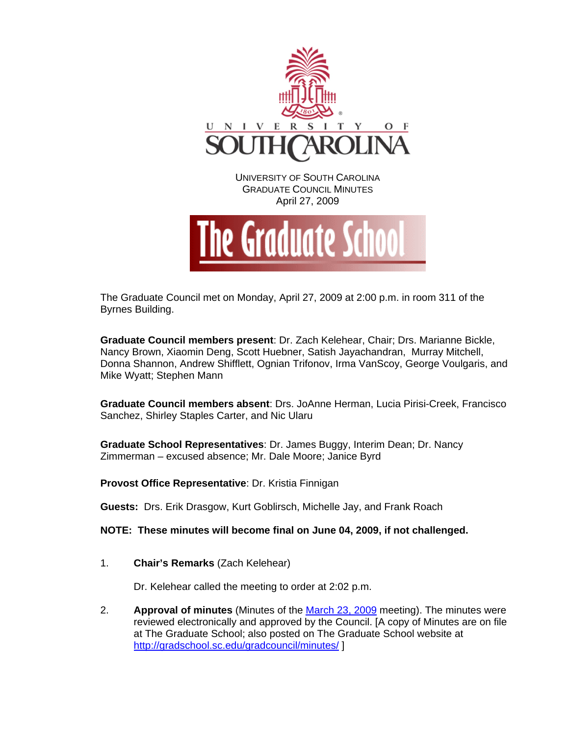

The Graduate Council met on Monday, April 27, 2009 at 2:00 p.m. in room 311 of the Byrnes Building.

**Graduate Council members present**: Dr. Zach Kelehear, Chair; Drs. Marianne Bickle, Nancy Brown, Xiaomin Deng, Scott Huebner, Satish Jayachandran, Murray Mitchell, Donna Shannon, Andrew Shifflett, Ognian Trifonov, Irma VanScoy, George Voulgaris, and Mike Wyatt; Stephen Mann

**Graduate Council members absent**: Drs. JoAnne Herman, Lucia Pirisi-Creek, Francisco Sanchez, Shirley Staples Carter, and Nic Ularu

**Graduate School Representatives**: Dr. James Buggy, Interim Dean; Dr. Nancy Zimmerman – excused absence; Mr. Dale Moore; Janice Byrd

**Provost Office Representative**: Dr. Kristia Finnigan

**Guests:** Drs. Erik Drasgow, Kurt Goblirsch, Michelle Jay, and Frank Roach

**NOTE: These minutes will become final on June 04, 2009, if not challenged.**

1. **Chair's Remarks** (Zach Kelehear)

Dr. Kelehear called the meeting to order at 2:02 p.m.

2. **Approval of minutes** (Minutes of the [March 23, 2009](http://gradschool.sc.edu/gradcouncil/minutes/GCMinutes%20032309.pdf) meeting). The minutes were reviewed electronically and approved by the Council. [A copy of Minutes are on file at The Graduate School; also posted on The Graduate School website at <http://gradschool.sc.edu/gradcouncil/minutes/>]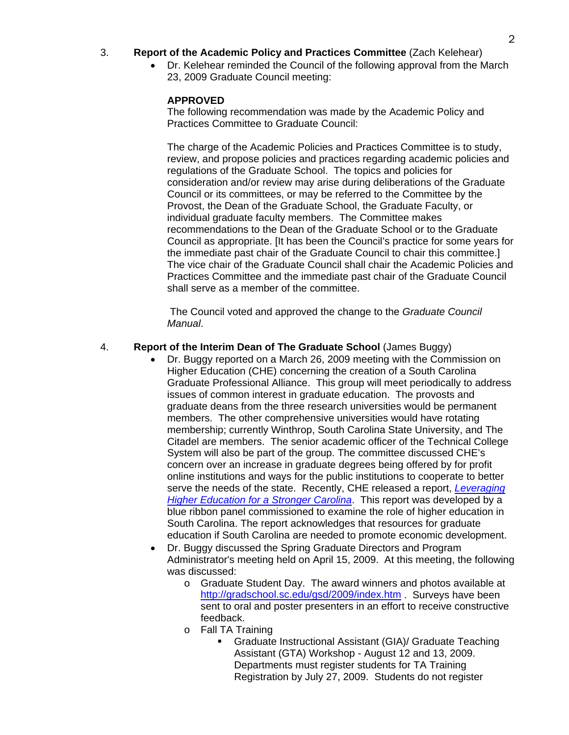### 3. **Report of the Academic Policy and Practices Committee** (Zach Kelehear)

• Dr. Kelehear reminded the Council of the following approval from the March 23, 2009 Graduate Council meeting:

#### **APPROVED**

The following recommendation was made by the Academic Policy and Practices Committee to Graduate Council:

The charge of the Academic Policies and Practices Committee is to study, review, and propose policies and practices regarding academic policies and regulations of the Graduate School. The topics and policies for consideration and/or review may arise during deliberations of the Graduate Council or its committees, or may be referred to the Committee by the Provost, the Dean of the Graduate School, the Graduate Faculty, or individual graduate faculty members. The Committee makes recommendations to the Dean of the Graduate School or to the Graduate Council as appropriate. [It has been the Council's practice for some years for the immediate past chair of the Graduate Council to chair this committee.] The vice chair of the Graduate Council shall chair the Academic Policies and Practices Committee and the immediate past chair of the Graduate Council shall serve as a member of the committee.

 The Council voted and approved the change to the *Graduate Council Manual*.

### 4. **Report of the Interim Dean of The Graduate School** (James Buggy)

- Dr. Buggy reported on a March 26, 2009 meeting with the Commission on Higher Education (CHE) concerning the creation of a South Carolina Graduate Professional Alliance. This group will meet periodically to address issues of common interest in graduate education. The provosts and graduate deans from the three research universities would be permanent members. The other comprehensive universities would have rotating membership; currently Winthrop, South Carolina State University, and The Citadel are members. The senior academic officer of the Technical College System will also be part of the group. The committee discussed CHE's concern over an increase in graduate degrees being offered by for profit online institutions and ways for the public institutions to cooperate to better serve the needs of the state. Recently, CHE released a report, *[Leveraging](http://www.che.sc.gov/InfoCntr/HESC_Files/che_2169_leverage_leave_behind_web.pdf)  [Higher Education for a Stronger Carolina](http://www.che.sc.gov/InfoCntr/HESC_Files/che_2169_leverage_leave_behind_web.pdf)*. This report was developed by a blue ribbon panel commissioned to examine the role of higher education in South Carolina. The report acknowledges that resources for graduate education if South Carolina are needed to promote economic development.
- Dr. Buggy discussed the Spring Graduate Directors and Program Administrator's meeting held on April 15, 2009. At this meeting, the following was discussed:
	- o Graduate Student Day. The award winners and photos available at <http://gradschool.sc.edu/gsd/2009/index.htm>. Surveys have been sent to oral and poster presenters in an effort to receive constructive feedback.
	- o Fall TA Training
		- Graduate Instructional Assistant (GIA)/ Graduate Teaching Assistant (GTA) Workshop - August 12 and 13, 2009. Departments must register students for TA Training Registration by July 27, 2009. Students do not register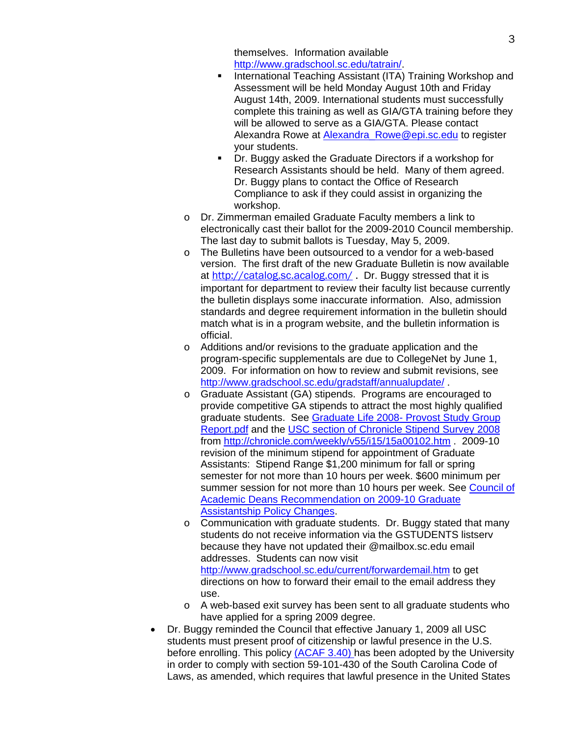themselves. Information available http://www.gradschool.sc.edu/tatrain/.

- **International Teaching Assistant (ITA) Training Workshop and** Assessment will be held Monday August 10th and Friday August 14th, 2009. International students must successfully complete this training as well as GIA/GTA training before they will be allowed to serve as a GIA/GTA. Please contact Alexandra Rowe at Alexandra Rowe@epi.sc.edu to register your students.
- Dr. Buggy asked the Graduate Directors if a workshop for Research Assistants should be held. Many of them agreed. Dr. Buggy plans to contact the Office of Research Compliance to ask if they could assist in organizing the workshop.
- o Dr. Zimmerman emailed Graduate Faculty members a link to electronically cast their ballot for the 2009-2010 Council membership. The last day to submit ballots is Tuesday, May 5, 2009.
- o The Bulletins have been outsourced to a vendor for a web-based version. The first draft of the new Graduate Bulletin is now available at http://catalog.sc.acalog.com/. Dr. Buggy stressed that it is important for department to review their faculty list because currently the bulletin displays some inaccurate information. Also, admission standards and degree requirement information in the bulletin should match what is in a program website, and the bulletin information is official.
- o Additions and/or revisions to the graduate application and the program-specific supplementals are due to CollegeNet by June 1, 2009. For information on how to review and submit revisions, see <http://www.gradschool.sc.edu/gradstaff/annualupdate/> .
- o Graduate Assistant (GA) stipends. Programs are encouraged to provide competitive GA stipends to attract the most highly qualified graduate students. See [Graduate Life 2008- Provost Study Group](http://www.gradschool.sc.edu/graddir/docs/Graduate%20Life%202008-%20Provost%20Study%20Group%20Report.pdf)  [Report.pdf](http://www.gradschool.sc.edu/graddir/docs/Graduate%20Life%202008-%20Provost%20Study%20Group%20Report.pdf) and the [USC section of Chronicle Stipend Survey 2008](http://www.gradschool.sc.edu/graddir/docs/The%20Chronicle_%20Stipend%20Survey%202008.pdf) from<http://chronicle.com/weekly/v55/i15/15a00102.htm> . 2009-10 revision of the minimum stipend for appointment of Graduate Assistants: Stipend Range \$1,200 minimum for fall or spring semester for not more than 10 hours per week. \$600 minimum per summer session for not more than 10 hours per week. See [Council of](http://www.gradschool.sc.edu/graddir/docs/Graduate%20Assistantship%20Policy%20Changes%202009-10.pdf)  [Academic Deans Recommendation on 2009-10 Graduate](http://www.gradschool.sc.edu/graddir/docs/Graduate%20Assistantship%20Policy%20Changes%202009-10.pdf)  [Assistantship Policy Changes](http://www.gradschool.sc.edu/graddir/docs/Graduate%20Assistantship%20Policy%20Changes%202009-10.pdf).
- o Communication with graduate students. Dr. Buggy stated that many students do not receive information via the GSTUDENTS listserv because they have not updated their @mailbox.sc.edu email addresses. Students can now visit <http://www.gradschool.sc.edu/current/forwardemail.htm> to get directions on how to forward their email to the email address they use.
- o A web-based exit survey has been sent to all graduate students who have applied for a spring 2009 degree.
- Dr. Buggy reminded the Council that effective January 1, 2009 all USC students must present proof of citizenship or lawful presence in the U.S. before enrolling. This policy [\(ACAF 3.40\)](http://www.sc.edu/policies/acaf340.pdf) has been adopted by the University in order to comply with section 59-101-430 of the South Carolina Code of Laws, as amended, which requires that lawful presence in the United States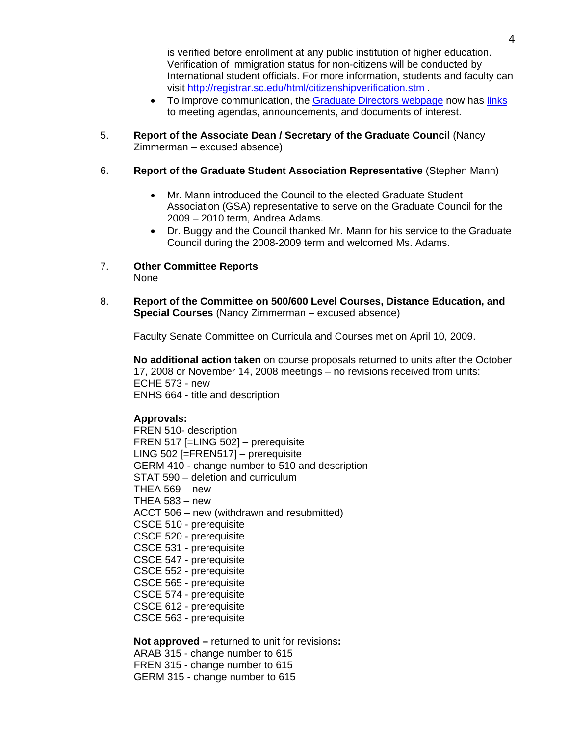is verified before enrollment at any public institution of higher education. Verification of immigration status for non-citizens will be conducted by International student officials. For more information, students and faculty can visit http://registrar.sc.edu/html/citizenshipverification.stm .

- To improve communication, the [Graduate Directors webpage](http://www.gradschool.sc.edu/graddir/) now has [links](http://www.gradschool.sc.edu/graddir/meetannounce.htm) to meeting agendas, announcements, and documents of interest.
- 5. **Report of the Associate Dean / Secretary of the Graduate Council** (Nancy Zimmerman – excused absence)

### 6. **Report of the Graduate Student Association Representative** (Stephen Mann)

- Mr. Mann introduced the Council to the elected Graduate Student Association (GSA) representative to serve on the Graduate Council for the 2009 – 2010 term, Andrea Adams.
- Dr. Buggy and the Council thanked Mr. Mann for his service to the Graduate Council during the 2008-2009 term and welcomed Ms. Adams.
- 7. **Other Committee Reports**  None
- 8. **Report of the Committee on 500/600 Level Courses, Distance Education, and Special Courses** (Nancy Zimmerman – excused absence)

Faculty Senate Committee on Curricula and Courses met on April 10, 2009.

**No additional action taken** on course proposals returned to units after the October 17, 2008 or November 14, 2008 meetings – no revisions received from units: ECHE 573 - new ENHS 664 - title and description

# **Approvals:**

FREN 510- description FREN 517 [=LING 502] – prerequisite LING 502 [=FREN517] – prerequisite GERM 410 - change number to 510 and description STAT 590 – deletion and curriculum THEA 569 – new THEA 583 – new ACCT 506 – new (withdrawn and resubmitted) CSCE 510 - prerequisite CSCE 520 - prerequisite CSCE 531 - prerequisite CSCE 547 - prerequisite CSCE 552 - prerequisite CSCE 565 - prerequisite CSCE 574 - prerequisite CSCE 612 - prerequisite CSCE 563 - prerequisite

**Not approved –** returned to unit for revisions**:** 

- ARAB 315 change number to 615 FREN 315 - change number to 615
- GERM 315 change number to 615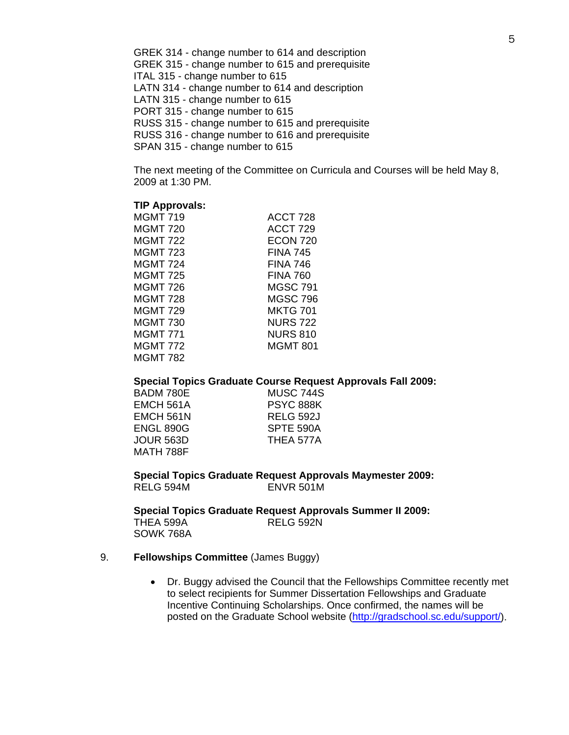GREK 314 - change number to 614 and description GREK 315 - change number to 615 and prerequisite ITAL 315 - change number to 615 LATN 314 - change number to 614 and description LATN 315 - change number to 615 PORT 315 - change number to 615 RUSS 315 - change number to 615 and prerequisite RUSS 316 - change number to 616 and prerequisite SPAN 315 - change number to 615

The next meeting of the Committee on Curricula and Courses will be held May 8, 2009 at 1:30 PM.

#### **TIP Approvals:**

| <b>MGMT 719</b> | ACCT 728        |
|-----------------|-----------------|
| <b>MGMT 720</b> | ACCT 729        |
| <b>MGMT 722</b> | <b>ECON 720</b> |
| <b>MGMT 723</b> | <b>FINA 745</b> |
| <b>MGMT 724</b> | <b>FINA 746</b> |
| <b>MGMT 725</b> | <b>FINA 760</b> |
| MGMT 726        | <b>MGSC 791</b> |
| <b>MGMT 728</b> | <b>MGSC 796</b> |
| <b>MGMT 729</b> | <b>MKTG 701</b> |
| MGMT 730        | <b>NURS 722</b> |
| <b>MGMT 771</b> | <b>NURS 810</b> |
| <b>MGMT 772</b> | <b>MGMT 801</b> |
| <b>MGMT 782</b> |                 |

#### **Special Topics Graduate Course Request Approvals Fall 2009:**

| BADM 780E | MUSC 744S        |
|-----------|------------------|
| EMCH 561A | <b>PSYC 888K</b> |
| EMCH 561N | <b>RELG 592J</b> |
| ENGL 890G | SPTE 590A        |
| JOUR 563D | THEA 577A        |
| MATH 788F |                  |

**Special Topics Graduate Request Approvals Maymester 2009:**  RELG 594M ENVR 501M

**Special Topics Graduate Request Approvals Summer II 2009:**  THEA 599A RELG 592N SOWK 768A

#### 9. **Fellowships Committee** (James Buggy)

• Dr. Buggy advised the Council that the Fellowships Committee recently met to select recipients for Summer Dissertation Fellowships and Graduate Incentive Continuing Scholarships. Once confirmed, the names will be posted on the Graduate School website [\(http://gradschool.sc.edu/support/\)](http://gradschool.sc.edu/support/).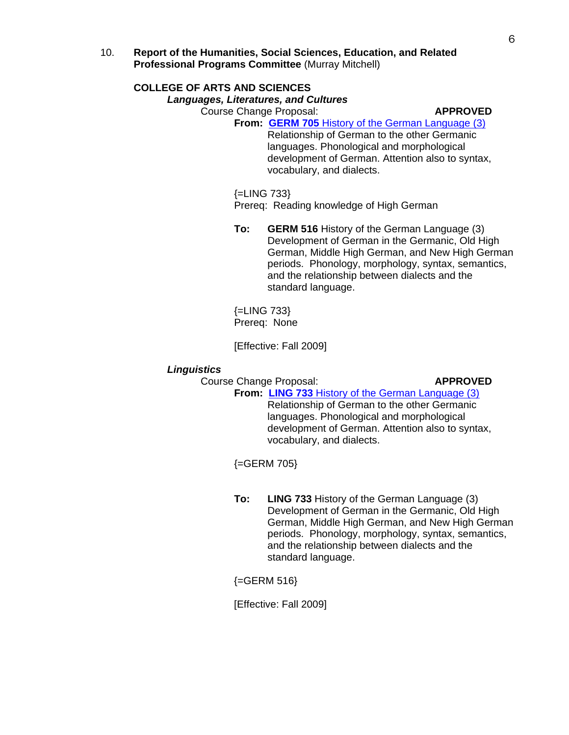10. **Report of the Humanities, Social Sciences, Education, and Related Professional Programs Committee** (Murray Mitchell)

### **COLLEGE OF ARTS AND SCIENCES**

#### *Languages, Literatures, and Cultures*

Course Change Proposal: **APPROVED**

**From: GERM 705** [History of the German Language \(3\)](http://gradschool.sc.edu/gradcouncil/curricula/CCP%20GERM%20705.pdf) Relationship of German to the other Germanic languages. Phonological and morphological development of German. Attention also to syntax, vocabulary, and dialects.

{=LING 733}

Prereq: Reading knowledge of High German

**To: GERM 516** History of the German Language (3) Development of German in the Germanic, Old High German, Middle High German, and New High German periods. Phonology, morphology, syntax, semantics, and the relationship between dialects and the standard language.

{=LING 733} Prereq: None

[Effective: Fall 2009]

#### *Linguistics*

Course Change Proposal: **APPROVED**

**From: LING 733** [History of the German Language \(3\)](http://gradschool.sc.edu/gradcouncil/curricula/CCP%20LING%20733.pdf) Relationship of German to the other Germanic languages. Phonological and morphological development of German. Attention also to syntax, vocabulary, and dialects.

{=GERM 705}

**To: LING 733** History of the German Language (3) Development of German in the Germanic, Old High German, Middle High German, and New High German periods. Phonology, morphology, syntax, semantics, and the relationship between dialects and the standard language.

 ${=}$ GERM 516 $}$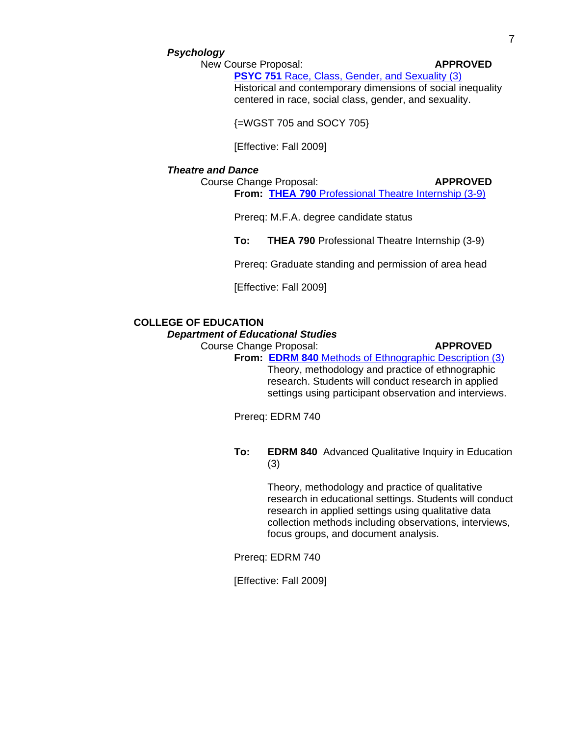#### *Psychology*

New Course Proposal: **APPROVED**

**PSYC 751 [Race, Class, Gender, and Sexuality \(3\)](http://gradschool.sc.edu/gradcouncil/curricula/NCP%20PSYC%20751.pdf)** Historical and contemporary dimensions of social inequality centered in race, social class, gender, and sexuality.

{=WGST 705 and SOCY 705}

[Effective: Fall 2009]

#### *Theatre and Dance*

Course Change Proposal: **APPROVED From: THEA 790** [Professional Theatre Internship \(3-9\)](http://gradschool.sc.edu/gradcouncil/curricula/CCP%20THEA%20790.pdf)

Prereq: M.F.A. degree candidate status

**To: THEA 790** Professional Theatre Internship (3-9)

Prereq: Graduate standing and permission of area head

[Effective: Fall 2009]

# **COLLEGE OF EDUCATION**

*Department of Educational Studies* 

Course Change Proposal: **APPROVED**

**From: EDRM 840** [Methods of Ethnographic Description \(3\)](http://gradschool.sc.edu/gradcouncil/curricula/CCP%20EDRM%20840.pdf) Theory, methodology and practice of ethnographic research. Students will conduct research in applied settings using participant observation and interviews.

Prereq: EDRM 740

**To: EDRM 840** Advanced Qualitative Inquiry in Education (3)

> Theory, methodology and practice of qualitative research in educational settings. Students will conduct research in applied settings using qualitative data collection methods including observations, interviews, focus groups, and document analysis.

Prereq: EDRM 740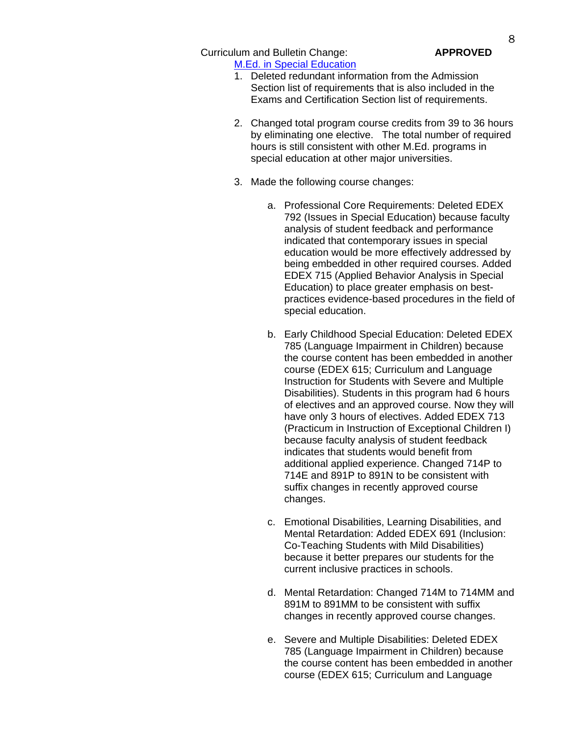Curriculum and Bulletin Change: **APPROVED** [M.Ed. in Special Education](http://gradschool.sc.edu/gradcouncil/curricula/CBC%20M.Ed.%20in%20Special%20Education.pdf)

- 1. Deleted redundant information from the Admission Section list of requirements that is also included in the Exams and Certification Section list of requirements.
- 2. Changed total program course credits from 39 to 36 hours by eliminating one elective. The total number of required hours is still consistent with other M.Ed. programs in special education at other major universities.
- 3. Made the following course changes:
	- a. Professional Core Requirements: Deleted EDEX 792 (Issues in Special Education) because faculty analysis of student feedback and performance indicated that contemporary issues in special education would be more effectively addressed by being embedded in other required courses. Added EDEX 715 (Applied Behavior Analysis in Special Education) to place greater emphasis on bestpractices evidence-based procedures in the field of special education.
	- b. Early Childhood Special Education: Deleted EDEX 785 (Language Impairment in Children) because the course content has been embedded in another course (EDEX 615; Curriculum and Language Instruction for Students with Severe and Multiple Disabilities). Students in this program had 6 hours of electives and an approved course. Now they will have only 3 hours of electives. Added EDEX 713 (Practicum in Instruction of Exceptional Children I) because faculty analysis of student feedback indicates that students would benefit from additional applied experience. Changed 714P to 714E and 891P to 891N to be consistent with suffix changes in recently approved course changes.
	- c. Emotional Disabilities, Learning Disabilities, and Mental Retardation: Added EDEX 691 (Inclusion: Co-Teaching Students with Mild Disabilities) because it better prepares our students for the current inclusive practices in schools.
	- d. Mental Retardation: Changed 714M to 714MM and 891M to 891MM to be consistent with suffix changes in recently approved course changes.
	- e. Severe and Multiple Disabilities: Deleted EDEX 785 (Language Impairment in Children) because the course content has been embedded in another course (EDEX 615; Curriculum and Language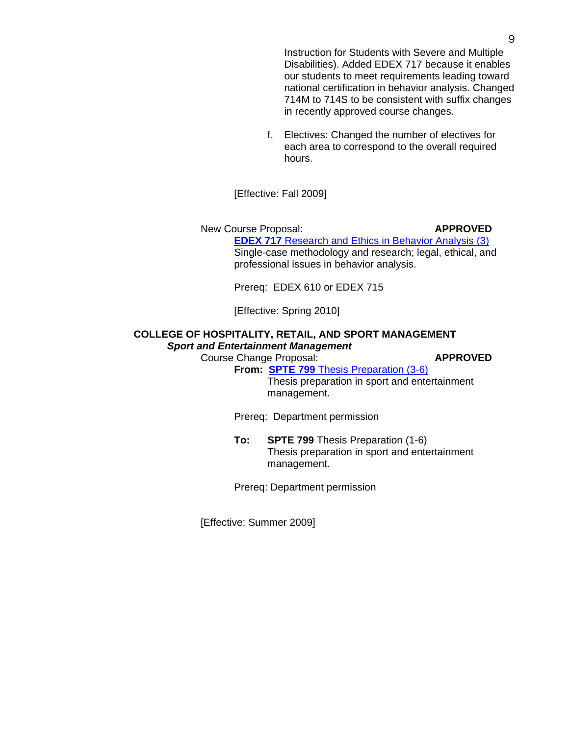Instruction for Students with Severe and Multiple Disabilities). Added EDEX 717 because it enables our students to meet requirements leading toward national certification in behavior analysis. Changed 714M to 714S to be consistent with suffix changes in recently approved course changes.

f. Electives: Changed the number of electives for each area to correspond to the overall required hours.

[Effective: Fall 2009]

New Course Proposal: **APPROVED EDEX 717** [Research and Ethics in Behavior Analysis](http://gradschool.sc.edu/gradcouncil/curricula/NCP%20EDEX%20717.pdf) (3) Single-case methodology and research; legal, ethical, and professional issues in behavior analysis.

Prereq: EDEX 610 or EDEX 715

[Effective: Spring 2010]

### **COLLEGE OF HOSPITALITY, RETAIL, AND SPORT MANAGEMENT**  *Sport and Entertainment Management*

Course Change Proposal: **APPROVED**

**From: SPTE 799** [Thesis Preparation \(3-6\)](http://gradschool.sc.edu/gradcouncil/curricula/CCP%20SPTE%20799.pdf) Thesis preparation in sport and entertainment management.

Prereq: Department permission

**To: SPTE 799** Thesis Preparation (1-6) Thesis preparation in sport and entertainment management.

Prereq: Department permission

[Effective: Summer 2009]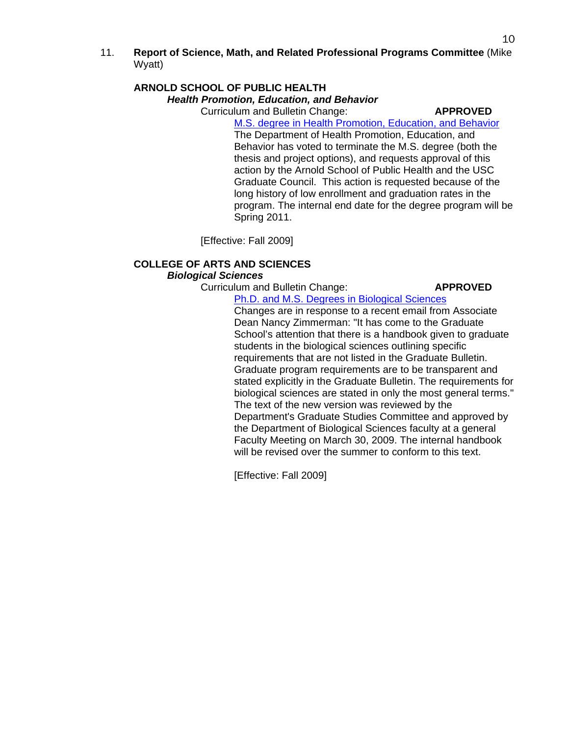11. **Report of Science, Math, and Related Professional Programs Committee** (Mike Wyatt)

### **ARNOLD SCHOOL OF PUBLIC HEALTH**  *Health Promotion, Education, and Behavior*

Curriculum and Bulletin Change: **APPROVED**

[M.S. degree in Health Promotion, Education, and Behavior](http://gradschool.sc.edu/gradcouncil/curricula/CBC%20MS%20Degree%20in%20Health%20Promotion,%20Education,%20and%20Behavior.pdf) The Department of Health Promotion, Education, and Behavior has voted to terminate the M.S. degree (both the thesis and project options), and requests approval of this action by the Arnold School of Public Health and the USC Graduate Council. This action is requested because of the long history of low enrollment and graduation rates in the program. The internal end date for the degree program will be Spring 2011.

[Effective: Fall 2009]

# **COLLEGE OF ARTS AND SCIENCES**

# *Biological Sciences*

Curriculum and Bulletin Change: **APPROVED**

[Ph.D. and M.S. Degrees in Biological Sciences](http://gradschool.sc.edu/gradcouncil/curricula/CBC%20Ph.D.%20and%20M.S.%20Degrees%20in%20Biological%20Sciences.pdf)

Changes are in response to a recent email from Associate Dean Nancy Zimmerman: "It has come to the Graduate School's attention that there is a handbook given to graduate students in the biological sciences outlining specific requirements that are not listed in the Graduate Bulletin. Graduate program requirements are to be transparent and stated explicitly in the Graduate Bulletin. The requirements for biological sciences are stated in only the most general terms." The text of the new version was reviewed by the Department's Graduate Studies Committee and approved by the Department of Biological Sciences faculty at a general Faculty Meeting on March 30, 2009. The internal handbook will be revised over the summer to conform to this text.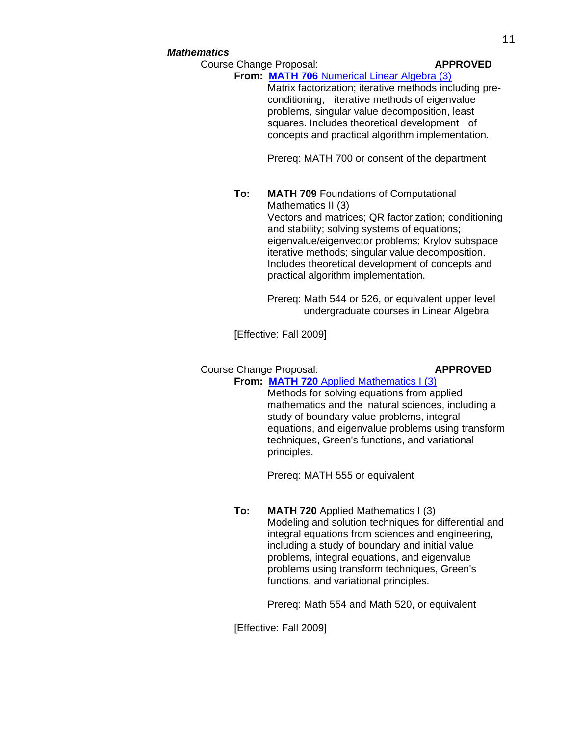#### *Mathematics*

Course Change Proposal: **APPROVED**

**From: MATH 706** [Numerical Linear Algebra \(3\)](http://gradschool.sc.edu/gradcouncil/curricula/CCP%20MATH%20706.pdf) Matrix factorization; iterative methods including pre conditioning, iterative methods of eigenvalue problems, singular value decomposition, least squares. Includes theoretical development of concepts and practical algorithm implementation.

Prereq: MATH 700 or consent of the department

**To: MATH 709** Foundations of Computational Mathematics II (3) Vectors and matrices; QR factorization; conditioning and stability; solving systems of equations; eigenvalue/eigenvector problems; Krylov subspace iterative methods; singular value decomposition. Includes theoretical development of concepts and practical algorithm implementation.

> Prereq: Math 544 or 526, or equivalent upper level undergraduate courses in Linear Algebra

[Effective: Fall 2009]

# Course Change Proposal: **APPROVED From: MATH 720** [Applied Mathematics I \(3\)](http://gradschool.sc.edu/gradcouncil/curricula/CCP%20MATH%20720.pdf)

Methods for solving equations from applied mathematics and the natural sciences, including a study of boundary value problems, integral equations, and eigenvalue problems using transform techniques, Green's functions, and variational principles.

Prereq: MATH 555 or equivalent

**To: MATH 720** Applied Mathematics I (3) Modeling and solution techniques for differential and integral equations from sciences and engineering, including a study of boundary and initial value problems, integral equations, and eigenvalue problems using transform techniques, Green's functions, and variational principles.

Prereq: Math 554 and Math 520, or equivalent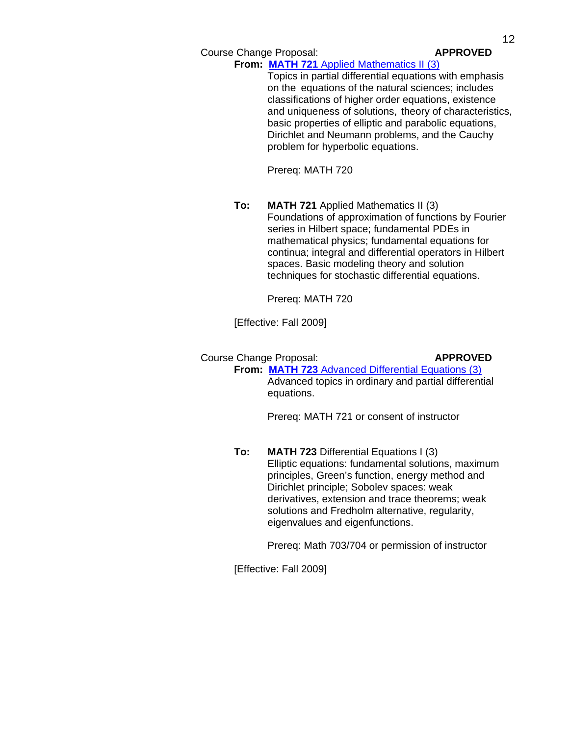Course Change Proposal: **APPROVED**

**From: MATH 721** [Applied Mathematics II \(3\)](http://gradschool.sc.edu/gradcouncil/curricula/CCP%20MATH%20721.pdf)

Topics in partial differential equations with emphasis on the equations of the natural sciences; includes classifications of higher order equations, existence and uniqueness of solutions, theory of characteristics, basic properties of elliptic and parabolic equations, Dirichlet and Neumann problems, and the Cauchy problem for hyperbolic equations.

Prereq: MATH 720

**To: MATH 721** Applied Mathematics II (3) Foundations of approximation of functions by Fourier series in Hilbert space; fundamental PDEs in mathematical physics; fundamental equations for continua; integral and differential operators in Hilbert spaces. Basic modeling theory and solution techniques for stochastic differential equations.

Prereq: MATH 720

[Effective: Fall 2009]

Course Change Proposal: **APPROVED From: MATH 723** [Advanced Differential Equations \(3\)](http://gradschool.sc.edu/gradcouncil/curricula/CCP%20MATH%20723.pdf)

Advanced topics in ordinary and partial differential equations.

Prereq: MATH 721 or consent of instructor

**To: MATH 723** Differential Equations I (3) Elliptic equations: fundamental solutions, maximum principles, Green's function, energy method and Dirichlet principle; Sobolev spaces: weak derivatives, extension and trace theorems; weak solutions and Fredholm alternative, regularity, eigenvalues and eigenfunctions.

Prereq: Math 703/704 or permission of instructor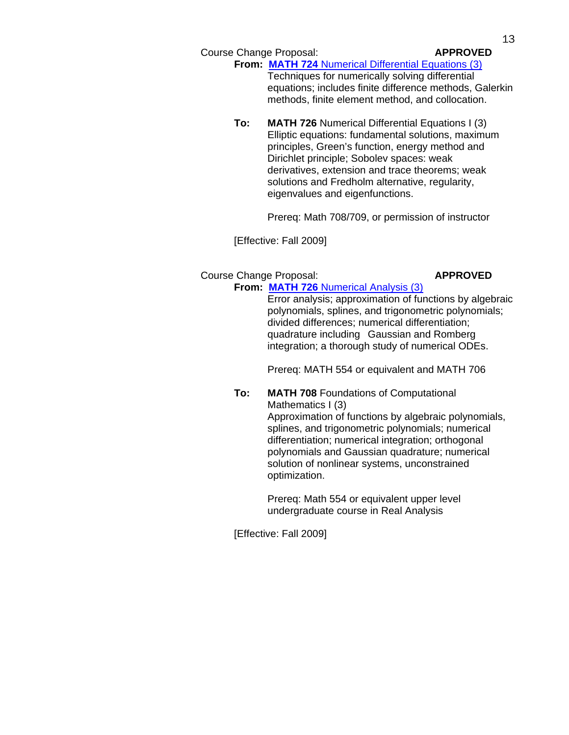Course Change Proposal: **APPROVED**

### **From: MATH 724** [Numerical Differential Equations \(3\)](http://gradschool.sc.edu/gradcouncil/curricula/CCP%20MATH%20724.pdf)

Techniques for numerically solving differential equations; includes finite difference methods, Galerkin methods, finite element method, and collocation.

**To: MATH 726** Numerical Differential Equations I (3) Elliptic equations: fundamental solutions, maximum principles, Green's function, energy method and Dirichlet principle; Sobolev spaces: weak derivatives, extension and trace theorems; weak solutions and Fredholm alternative, regularity, eigenvalues and eigenfunctions.

Prereq: Math 708/709, or permission of instructor

[Effective: Fall 2009]

#### Course Change Proposal: **APPROVED From: MATH 726** [Numerical Analysis \(3\)](http://gradschool.sc.edu/gradcouncil/curricula/CCP%20MATH%20726.pdf)

Error analysis; approximation of functions by algebraic polynomials, splines, and trigonometric polynomials; divided differences; numerical differentiation; quadrature including Gaussian and Romberg integration; a thorough study of numerical ODEs.

Prereq: MATH 554 or equivalent and MATH 706

**To: MATH 708** Foundations of Computational Mathematics I (3)

Approximation of functions by algebraic polynomials, splines, and trigonometric polynomials; numerical differentiation; numerical integration; orthogonal polynomials and Gaussian quadrature; numerical solution of nonlinear systems, unconstrained optimization.

Prereq: Math 554 or equivalent upper level undergraduate course in Real Analysis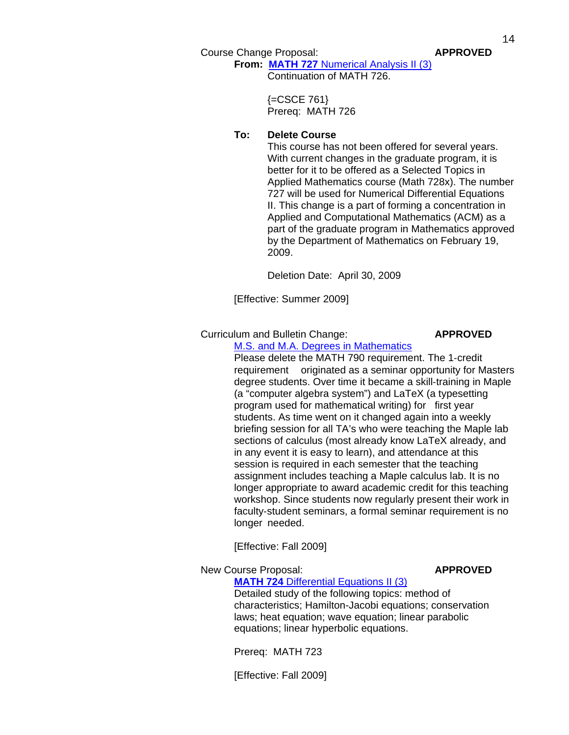Course Change Proposal: **APPROVED**

**From: MATH 727** [Numerical Analysis II \(3\)](http://gradschool.sc.edu/gradcouncil/curricula/CCP%20MATH%20727.pdf) Continuation of MATH 726.

> {=CSCE 761} Prereq: MATH 726

# **To: Delete Course**

 This course has not been offered for several years. With current changes in the graduate program, it is better for it to be offered as a Selected Topics in Applied Mathematics course (Math 728x). The number 727 will be used for Numerical Differential Equations II. This change is a part of forming a concentration in Applied and Computational Mathematics (ACM) as a part of the graduate program in Mathematics approved by the Department of Mathematics on February 19, 2009.

Deletion Date: April 30, 2009

[Effective: Summer 2009]

Curriculum and Bulletin Change: **APPROVED**

[M.S. and M.A. Degrees in Mathematics](http://gradschool.sc.edu/gradcouncil/curricula/CBC%20Mathematics.pdf)

Please delete the MATH 790 requirement. The 1‐credit requirement originated as a seminar opportunity for Masters degree students. Over time it became a skill‐training in Maple (a "computer algebra system") and LaTeX (a typesetting program used for mathematical writing) for first year students. As time went on it changed again into a weekly briefing session for all TA's who were teaching the Maple lab sections of calculus (most already know LaTeX already, and in any event it is easy to learn), and attendance at this session is required in each semester that the teaching assignment includes teaching a Maple calculus lab. It is no longer appropriate to award academic credit for this teaching workshop. Since students now regularly present their work in faculty‐student seminars, a formal seminar requirement is no longer needed.

[Effective: Fall 2009]

#### New Course Proposal: **APPROVED**

**MATH 724** [Differential Equations II](http://gradschool.sc.edu/gradcouncil/curricula/NCP%20MATH%20724.pdf) (3) Detailed study of the following topics: method of characteristics; Hamilton-Jacobi equations; conservation laws; heat equation; wave equation; linear parabolic

equations; linear hyperbolic equations.

Prereq: MATH 723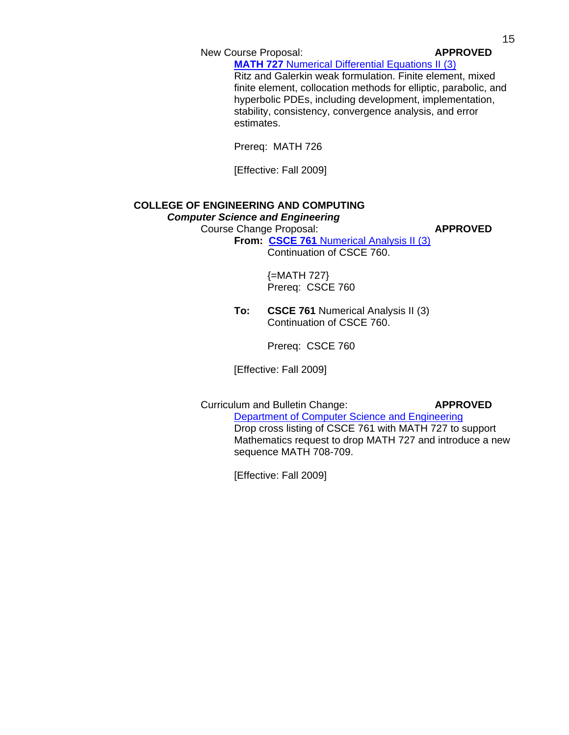New Course Proposal: **APPROVED** 

**MATH 727** Numerical [Differential Equations II](http://gradschool.sc.edu/gradcouncil/curricula/NCP%20MATH%20727.pdf) (3)

Ritz and Galerkin weak formulation. Finite element, mixed finite element, collocation methods for elliptic, parabolic, and hyperbolic PDEs, including development, implementation, stability, consistency, convergence analysis, and error estimates.

Prereq: MATH 726

[Effective: Fall 2009]

### **COLLEGE OF ENGINEERING AND COMPUTING**  *Computer Science and Engineering*

Course Change Proposal: **APPROVED**

**From: CSCE 761** [Numerical Analysis II \(3\)](http://gradschool.sc.edu/gradcouncil/curricula/CCP%20CSCE%20761.pdf) Continuation of CSCE 760.

> {=MATH 727} Prereq: CSCE 760

**To: CSCE 761** Numerical Analysis II (3) Continuation of CSCE 760.

Prereq: CSCE 760

[Effective: Fall 2009]

Curriculum and Bulletin Change: **APPROVED**

[Department of Computer Science and Engineering](http://gradschool.sc.edu/gradcouncil/curricula/CBC%20CSCE%20761.pdf) Drop cross listing of CSCE 761 with MATH 727 to support Mathematics request to drop MATH 727 and introduce a new sequence MATH 708-709.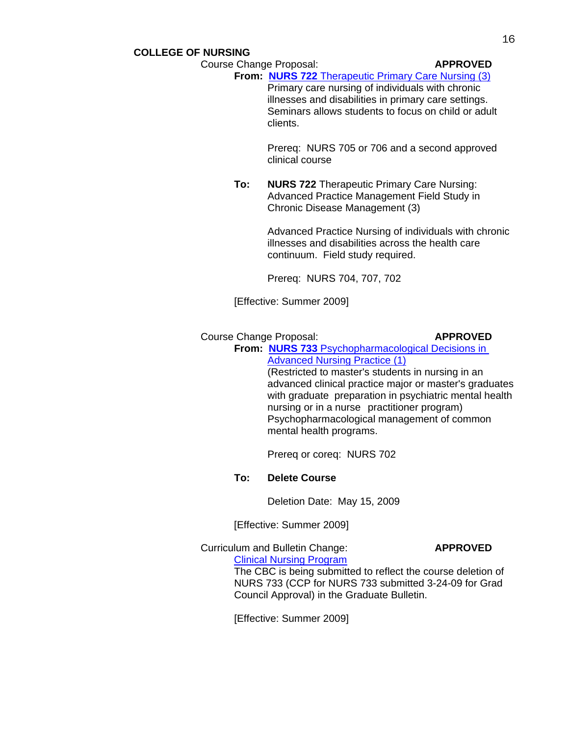# **COLLEGE OF NURSING**

#### **Course Change Proposal: APPROVED**

**From: NURS 722** [Therapeutic Primary Care Nursing \(3\)](http://gradschool.sc.edu/gradcouncil/curricula/CCP%20NURS%20722.pdf)

 Primary care nursing of individuals with chronic illnesses and disabilities in primary care settings. Seminars allows students to focus on child or adult clients.

 Prereq: NURS 705 or 706 and a second approved clinical course

**To: NURS 722** Therapeutic Primary Care Nursing: Advanced Practice Management Field Study in Chronic Disease Management (3)

> Advanced Practice Nursing of individuals with chronic illnesses and disabilities across the health care continuum. Field study required.

Prereq: NURS 704, 707, 702

[Effective: Summer 2009]

#### Course Change Proposal: **APPROVED**

**From: NURS 733** [Psychopharmacological Decisions in](http://gradschool.sc.edu/gradcouncil/curricula/CCP%20NURS%20733.pdf)  [Advanced Nursing Practice \(1\)](http://gradschool.sc.edu/gradcouncil/curricula/CCP%20NURS%20733.pdf)

(Restricted to master's students in nursing in an advanced clinical practice major or master's graduates with graduate preparation in psychiatric mental health nursing or in a nurse practitioner program) Psychopharmacological management of common mental health programs.

Prereq or coreq: NURS 702

#### **To: Delete Course**

Deletion Date: May 15, 2009

[Effective: Summer 2009]

Curriculum and Bulletin Change: **APPROVED**

[Clinical Nursing Program](http://gradschool.sc.edu/gradcouncil/curricula/CBC%20Clinical%20Nursing.pdf) The CBC is being submitted to reflect the course deletion of NURS 733 (CCP for NURS 733 submitted 3-24-09 for Grad Council Approval) in the Graduate Bulletin.

[Effective: Summer 2009]